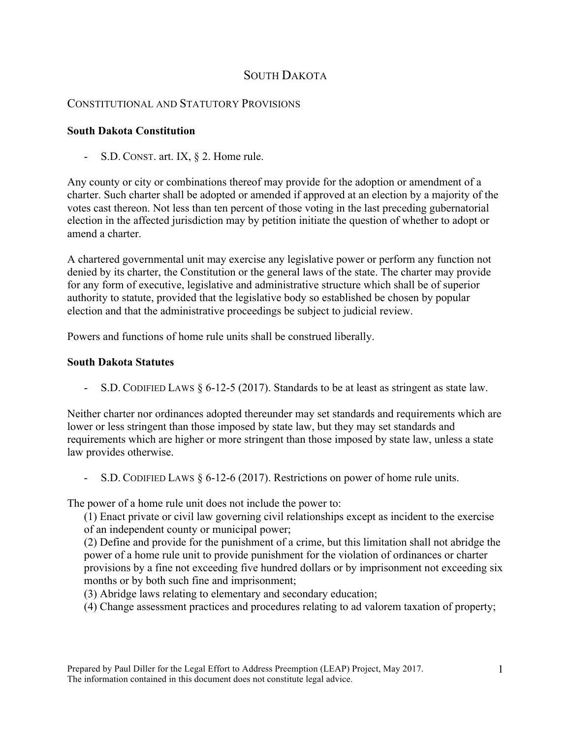# SOUTH DAKOTA

## CONSTITUTIONAL AND STATUTORY PROVISIONS

### **South Dakota Constitution**

S.D. CONST. art. IX, § 2. Home rule.

Any county or city or combinations thereof may provide for the adoption or amendment of a charter. Such charter shall be adopted or amended if approved at an election by a majority of the votes cast thereon. Not less than ten percent of those voting in the last preceding gubernatorial election in the affected jurisdiction may by petition initiate the question of whether to adopt or amend a charter.

A chartered governmental unit may exercise any legislative power or perform any function not denied by its charter, the Constitution or the general laws of the state. The charter may provide for any form of executive, legislative and administrative structure which shall be of superior authority to statute, provided that the legislative body so established be chosen by popular election and that the administrative proceedings be subject to judicial review.

Powers and functions of home rule units shall be construed liberally.

#### **South Dakota Statutes**

- S.D. CODIFIED LAWS § 6-12-5 (2017). Standards to be at least as stringent as state law.

Neither charter nor ordinances adopted thereunder may set standards and requirements which are lower or less stringent than those imposed by state law, but they may set standards and requirements which are higher or more stringent than those imposed by state law, unless a state law provides otherwise.

- S.D. CODIFIED LAWS  $\S 6-12-6$  (2017). Restrictions on power of home rule units.

The power of a home rule unit does not include the power to:

(1) Enact private or civil law governing civil relationships except as incident to the exercise of an independent county or municipal power;

(2) Define and provide for the punishment of a crime, but this limitation shall not abridge the power of a home rule unit to provide punishment for the violation of ordinances or charter provisions by a fine not exceeding five hundred dollars or by imprisonment not exceeding six months or by both such fine and imprisonment;

(3) Abridge laws relating to elementary and secondary education;

(4) Change assessment practices and procedures relating to ad valorem taxation of property;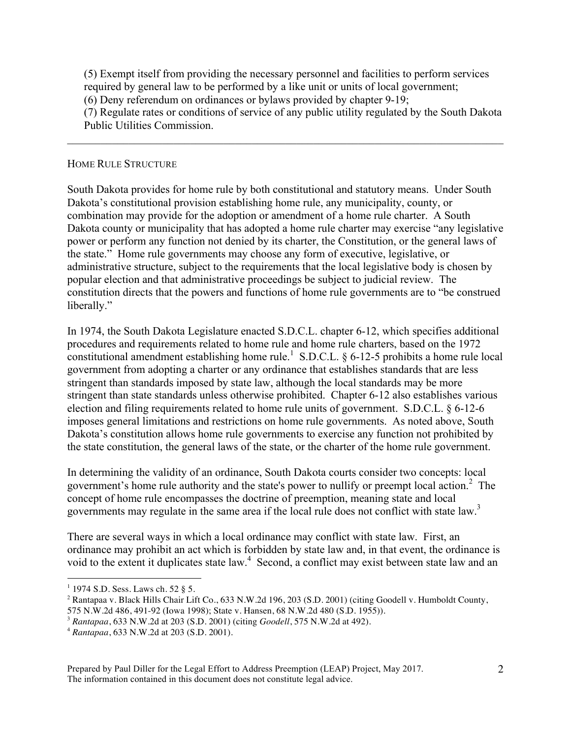(5) Exempt itself from providing the necessary personnel and facilities to perform services required by general law to be performed by a like unit or units of local government;

(6) Deny referendum on ordinances or bylaws provided by chapter 9-19;

(7) Regulate rates or conditions of service of any public utility regulated by the South Dakota Public Utilities Commission.

 $\mathcal{L}_\mathcal{L} = \{ \mathcal{L}_\mathcal{L} = \{ \mathcal{L}_\mathcal{L} = \{ \mathcal{L}_\mathcal{L} = \{ \mathcal{L}_\mathcal{L} = \{ \mathcal{L}_\mathcal{L} = \{ \mathcal{L}_\mathcal{L} = \{ \mathcal{L}_\mathcal{L} = \{ \mathcal{L}_\mathcal{L} = \{ \mathcal{L}_\mathcal{L} = \{ \mathcal{L}_\mathcal{L} = \{ \mathcal{L}_\mathcal{L} = \{ \mathcal{L}_\mathcal{L} = \{ \mathcal{L}_\mathcal{L} = \{ \mathcal{L}_\mathcal{$ 

#### HOME RULE STRUCTURE

South Dakota provides for home rule by both constitutional and statutory means. Under South Dakota's constitutional provision establishing home rule, any municipality, county, or combination may provide for the adoption or amendment of a home rule charter. A South Dakota county or municipality that has adopted a home rule charter may exercise "any legislative power or perform any function not denied by its charter, the Constitution, or the general laws of the state." Home rule governments may choose any form of executive, legislative, or administrative structure, subject to the requirements that the local legislative body is chosen by popular election and that administrative proceedings be subject to judicial review. The constitution directs that the powers and functions of home rule governments are to "be construed liberally."

In 1974, the South Dakota Legislature enacted S.D.C.L. chapter 6-12, which specifies additional procedures and requirements related to home rule and home rule charters, based on the 1972 constitutional amendment establishing home rule.<sup>1</sup> S.D.C.L. § 6-12-5 prohibits a home rule local government from adopting a charter or any ordinance that establishes standards that are less stringent than standards imposed by state law, although the local standards may be more stringent than state standards unless otherwise prohibited. Chapter 6-12 also establishes various election and filing requirements related to home rule units of government. S.D.C.L. § 6-12-6 imposes general limitations and restrictions on home rule governments. As noted above, South Dakota's constitution allows home rule governments to exercise any function not prohibited by the state constitution, the general laws of the state, or the charter of the home rule government.

In determining the validity of an ordinance, South Dakota courts consider two concepts: local government's home rule authority and the state's power to nullify or preempt local action.<sup>2</sup> The concept of home rule encompasses the doctrine of preemption, meaning state and local governments may regulate in the same area if the local rule does not conflict with state law.<sup>3</sup>

There are several ways in which a local ordinance may conflict with state law. First, an ordinance may prohibit an act which is forbidden by state law and, in that event, the ordinance is void to the extent it duplicates state law.<sup>4</sup> Second, a conflict may exist between state law and an

Prepared by Paul Diller for the Legal Effort to Address Preemption (LEAP) Project, May 2017. The information contained in this document does not constitute legal advice.

<sup>|&</sup>lt;br>|<br>1  $1$  1974 S.D. Sess. Laws ch. 52 § 5.

 $^2$  Rantapaa v. Black Hills Chair Lift Co., 633 N.W.2d 196, 203 (S.D. 2001) (citing Goodell v. Humboldt County, 575 N.W.2d 486, 491-92 (Iowa 1998); State v. Hansen, 68 N.W.2d 480 (S.D. 1955)).

<sup>3</sup> *Rantapaa*, 633 N.W.2d at 203 (S.D. 2001) (citing *Goodell*, 575 N.W.2d at 492).

<sup>4</sup> *Rantapaa*, 633 N.W.2d at 203 (S.D. 2001).